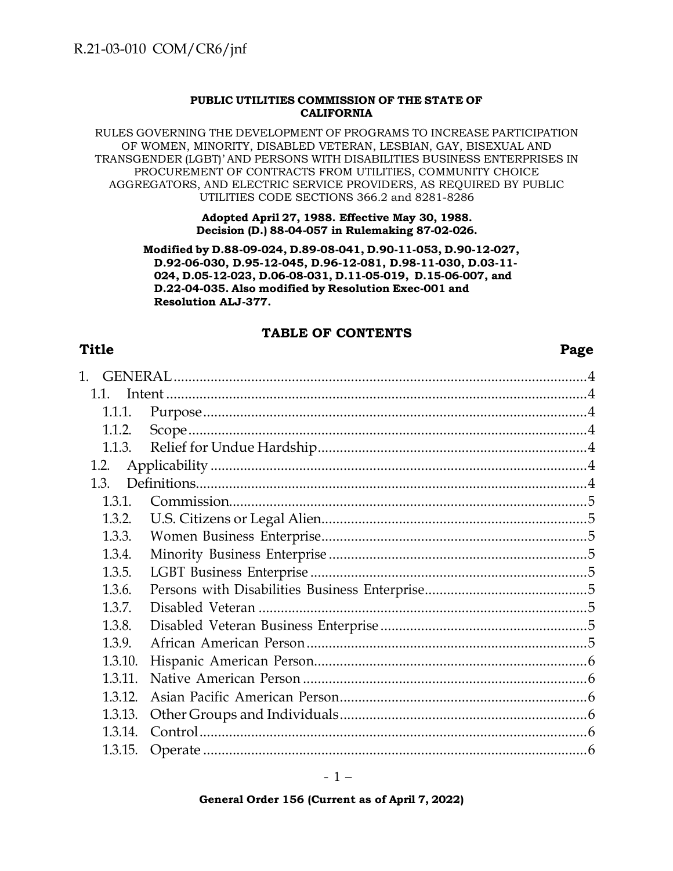#### **PUBLIC UTILITIES COMMISSION OF THE STATE OF CALIFORNIA**

RULES GOVERNING THE DEVELOPMENT OF PROGRAMS TO INCREASE PARTICIPATION OF WOMEN, MINORITY, DISABLED VETERAN, LESBIAN, GAY, BISEXUAL AND TRANSGENDER (LGBT)' AND PERSONS WITH DISABILITIES BUSINESS ENTERPRISES IN PROCUREMENT OF CONTRACTS FROM UTILITIES, COMMUNITY CHOICE AGGREGATORS, AND ELECTRIC SERVICE PROVIDERS, AS REQUIRED BY PUBLIC UTILITIES CODE SECTIONS 366.2 and 8281-8286

#### **Adopted April 27, 1988. Effective May 30, 1988. Decision (D.) 88-04-057 in Rulemaking 87-02-026.**

**Modified by D.88-09-024, D.89-08-041, D.90-11-053, D.90-12-027, D.92-06-030, D.95-12-045, D.96-12-081, D.98-11-030, D.03-11- 024, D.05-12-023, D.06-08-031, D.11-05-019, D.15-06-007, and D.22-04-035. Also modified by Resolution Exec-001 and Resolution ALJ-377.**

### **TABLE OF CONTENTS**

### **Title Page**

| 1.      |  |
|---------|--|
| 11      |  |
| 1.1.1.  |  |
| 1.1.2.  |  |
| 1.1.3.  |  |
| 1.2.    |  |
| 1.3.    |  |
| 1.3.1.  |  |
| 1.3.2.  |  |
| 1.3.3.  |  |
| 1.3.4.  |  |
| 1.3.5.  |  |
| 1.3.6.  |  |
| 1.3.7.  |  |
| 1.3.8.  |  |
| 1.3.9.  |  |
| 1.3.10. |  |
| 1.3.11. |  |
| 1.3.12. |  |
| 1.3.13. |  |
| 1.3.14. |  |
| 1.3.15. |  |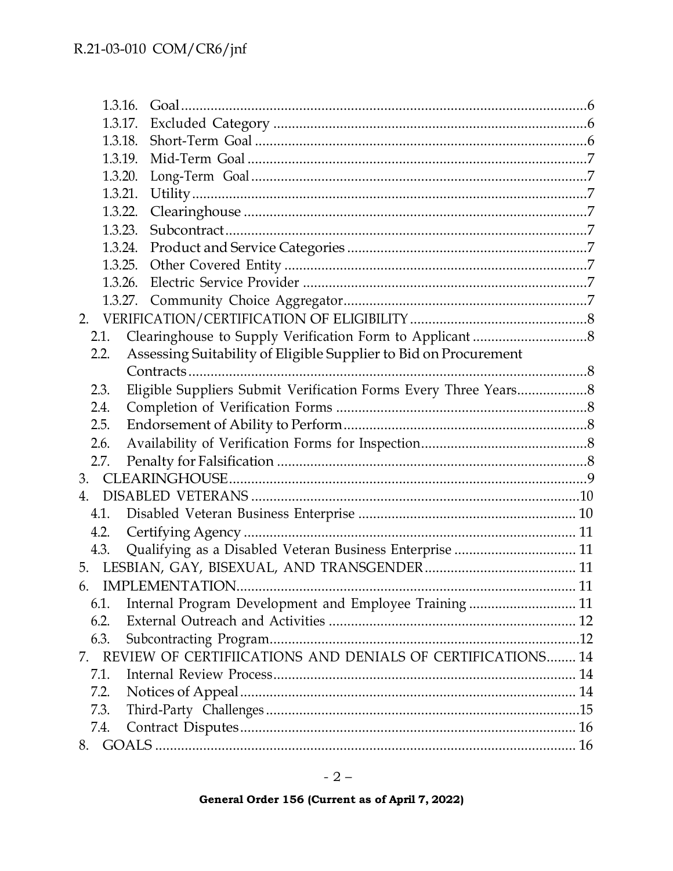|         | 1.3.16.                                                          |    |
|---------|------------------------------------------------------------------|----|
| 1.3.17. |                                                                  |    |
| 1.3.18. |                                                                  |    |
| 1.3.19. |                                                                  |    |
| 1.3.20. |                                                                  |    |
| 1.3.21. |                                                                  |    |
| 1.3.22. |                                                                  |    |
| 1.3.23. |                                                                  |    |
|         | 1.3.24.                                                          |    |
|         | 1.3.25.                                                          |    |
| 1.3.26. |                                                                  |    |
|         |                                                                  |    |
| 2.      |                                                                  |    |
| 2.1.    |                                                                  |    |
| 2.2.    | Assessing Suitability of Eligible Supplier to Bid on Procurement |    |
|         |                                                                  |    |
| 2.3.    |                                                                  |    |
| 2.4.    |                                                                  |    |
| 2.5.    |                                                                  |    |
| 2.6.    |                                                                  |    |
| 2.7.    |                                                                  |    |
| 3.      |                                                                  |    |
| 4.      |                                                                  |    |
| 4.1.    |                                                                  |    |
| 4.2.    |                                                                  |    |
| 4.3.    | Qualifying as a Disabled Veteran Business Enterprise  11         |    |
|         |                                                                  |    |
|         | 6. IMPLEMENTATION.                                               | 11 |
| 6.1.    | Internal Program Development and Employee Training 11            |    |
| 6.2.    |                                                                  |    |
| 6.3.    |                                                                  |    |
|         | 7. REVIEW OF CERTIFIICATIONS AND DENIALS OF CERTIFICATIONS 14    |    |
| 7.1.    |                                                                  |    |
| 7.2.    |                                                                  |    |
| 7.3.    |                                                                  |    |
| 7.4.    |                                                                  |    |
|         |                                                                  |    |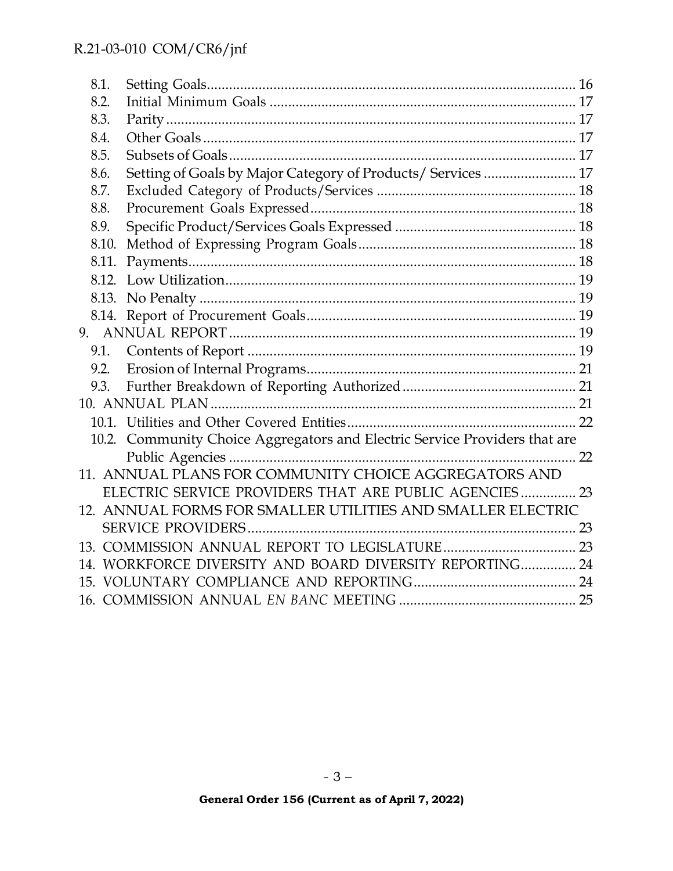| 8.1.<br>8.2.<br>8.3.<br>8.4.<br>8.5.<br>Setting of Goals by Major Category of Products/ Services  17<br>8.6.<br>8.7.<br>8.8.<br>8.9.<br>8.10.<br>8.11.<br>9.2.<br>Community Choice Aggregators and Electric Service Providers that are<br>10.2.<br>11. ANNUAL PLANS FOR COMMUNITY CHOICE AGGREGATORS AND<br>ELECTRIC SERVICE PROVIDERS THAT ARE PUBLIC AGENCIES 23<br>12. ANNUAL FORMS FOR SMALLER UTILITIES AND SMALLER ELECTRIC<br>14. WORKFORCE DIVERSITY AND BOARD DIVERSITY REPORTING 24 |  |  |
|-----------------------------------------------------------------------------------------------------------------------------------------------------------------------------------------------------------------------------------------------------------------------------------------------------------------------------------------------------------------------------------------------------------------------------------------------------------------------------------------------|--|--|
|                                                                                                                                                                                                                                                                                                                                                                                                                                                                                               |  |  |
|                                                                                                                                                                                                                                                                                                                                                                                                                                                                                               |  |  |
|                                                                                                                                                                                                                                                                                                                                                                                                                                                                                               |  |  |
|                                                                                                                                                                                                                                                                                                                                                                                                                                                                                               |  |  |
|                                                                                                                                                                                                                                                                                                                                                                                                                                                                                               |  |  |
|                                                                                                                                                                                                                                                                                                                                                                                                                                                                                               |  |  |
|                                                                                                                                                                                                                                                                                                                                                                                                                                                                                               |  |  |
|                                                                                                                                                                                                                                                                                                                                                                                                                                                                                               |  |  |
|                                                                                                                                                                                                                                                                                                                                                                                                                                                                                               |  |  |
|                                                                                                                                                                                                                                                                                                                                                                                                                                                                                               |  |  |
|                                                                                                                                                                                                                                                                                                                                                                                                                                                                                               |  |  |
|                                                                                                                                                                                                                                                                                                                                                                                                                                                                                               |  |  |
|                                                                                                                                                                                                                                                                                                                                                                                                                                                                                               |  |  |
|                                                                                                                                                                                                                                                                                                                                                                                                                                                                                               |  |  |
|                                                                                                                                                                                                                                                                                                                                                                                                                                                                                               |  |  |
|                                                                                                                                                                                                                                                                                                                                                                                                                                                                                               |  |  |
|                                                                                                                                                                                                                                                                                                                                                                                                                                                                                               |  |  |
|                                                                                                                                                                                                                                                                                                                                                                                                                                                                                               |  |  |
|                                                                                                                                                                                                                                                                                                                                                                                                                                                                                               |  |  |
|                                                                                                                                                                                                                                                                                                                                                                                                                                                                                               |  |  |
|                                                                                                                                                                                                                                                                                                                                                                                                                                                                                               |  |  |
|                                                                                                                                                                                                                                                                                                                                                                                                                                                                                               |  |  |
|                                                                                                                                                                                                                                                                                                                                                                                                                                                                                               |  |  |
|                                                                                                                                                                                                                                                                                                                                                                                                                                                                                               |  |  |
|                                                                                                                                                                                                                                                                                                                                                                                                                                                                                               |  |  |
|                                                                                                                                                                                                                                                                                                                                                                                                                                                                                               |  |  |
|                                                                                                                                                                                                                                                                                                                                                                                                                                                                                               |  |  |
|                                                                                                                                                                                                                                                                                                                                                                                                                                                                                               |  |  |
|                                                                                                                                                                                                                                                                                                                                                                                                                                                                                               |  |  |
|                                                                                                                                                                                                                                                                                                                                                                                                                                                                                               |  |  |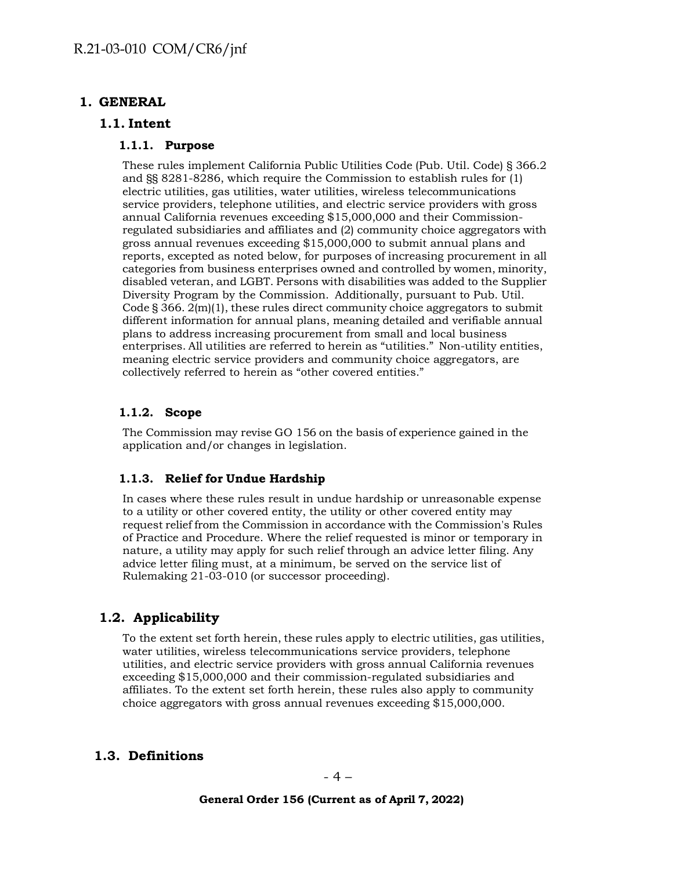### <span id="page-3-1"></span><span id="page-3-0"></span>**1. GENERAL**

#### <span id="page-3-2"></span>**1.1. Intent**

#### **1.1.1. Purpose**

These rules implement California Public Utilities Code (Pub. Util. Code) § 366.2 and §§ 8281-8286, which require the Commission to establish rules for (1) electric utilities, gas utilities, water utilities, wireless telecommunications service providers, telephone utilities, and electric service providers with gross annual California revenues exceeding \$15,000,000 and their Commissionregulated subsidiaries and affiliates and (2) community choice aggregators with gross annual revenues exceeding \$15,000,000 to submit annual plans and reports, excepted as noted below, for purposes of increasing procurement in all categories from business enterprises owned and controlled by women, minority, disabled veteran, and LGBT. Persons with disabilities was added to the Supplier Diversity Program by the Commission. Additionally, pursuant to Pub. Util. Code  $\S 366. 2(m)(1)$ , these rules direct community choice aggregators to submit different information for annual plans, meaning detailed and verifiable annual plans to address increasing procurement from small and local business enterprises. All utilities are referred to herein as "utilities." Non-utility entities, meaning electric service providers and community choice aggregators, are collectively referred to herein as "other covered entities."

#### <span id="page-3-3"></span>**1.1.2. Scope**

The Commission may revise GO 156 on the basis of experience gained in the application and/or changes in legislation.

### <span id="page-3-4"></span>**1.1.3. Relief for Undue Hardship**

In cases where these rules result in undue hardship or unreasonable expense to a utility or other covered entity, the utility or other covered entity may request relief from the Commission in accordance with the Commission's Rules of Practice and Procedure. Where the relief requested is minor or temporary in nature, a utility may apply for such relief through an advice letter filing. Any advice letter filing must, at a minimum, be served on the service list of Rulemaking 21-03-010 (or successor proceeding).

## <span id="page-3-5"></span>**1.2. Applicability**

To the extent set forth herein, these rules apply to electric utilities, gas utilities, water utilities, wireless telecommunications service providers, telephone utilities, and electric service providers with gross annual California revenues exceeding \$15,000,000 and their commission-regulated subsidiaries and affiliates. To the extent set forth herein, these rules also apply to community choice aggregators with gross annual revenues exceeding \$15,000,000.

### <span id="page-3-6"></span>**1.3. Definitions**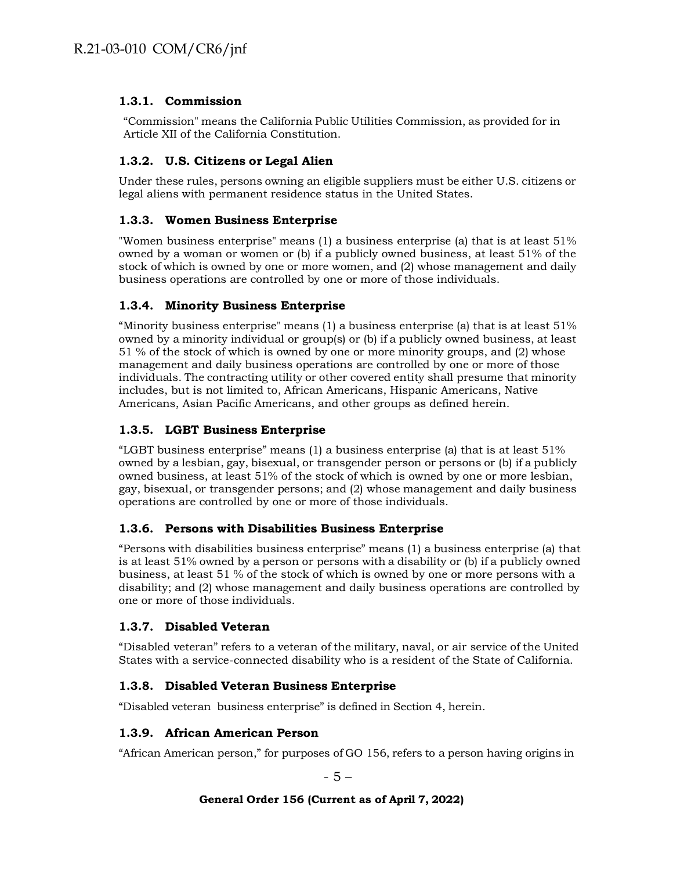### <span id="page-4-0"></span>**1.3.1. Commission**

"Commission" means the California Public Utilities Commission, as provided for in Article XII of the California Constitution.

### <span id="page-4-1"></span>**1.3.2. U.S. Citizens or Legal Alien**

Under these rules, persons owning an eligible suppliers must be either U.S. citizens or legal aliens with permanent residence status in the United States.

### <span id="page-4-2"></span>**1.3.3. Women Business Enterprise**

"Women business enterprise" means (1) a business enterprise (a) that is at least 51% owned by a woman or women or (b) if a publicly owned business, at least 51% of the stock of which is owned by one or more women, and (2) whose management and daily business operations are controlled by one or more of those individuals.

### <span id="page-4-3"></span>**1.3.4. Minority Business Enterprise**

"Minority business enterprise" means (1) a business enterprise (a) that is at least 51% owned by a minority individual or group(s) or (b) if a publicly owned business, at least 51 % of the stock of which is owned by one or more minority groups, and (2) whose management and daily business operations are controlled by one or more of those individuals. The contracting utility or other covered entity shall presume that minority includes, but is not limited to, African Americans, Hispanic Americans, Native Americans, Asian Pacific Americans, and other groups as defined herein.

### <span id="page-4-4"></span>**1.3.5. LGBT Business Enterprise**

"LGBT business enterprise" means (1) a business enterprise (a) that is at least 51% owned by a lesbian, gay, bisexual, or transgender person or persons or (b) if a publicly owned business, at least 51% of the stock of which is owned by one or more lesbian, gay, bisexual, or transgender persons; and (2) whose management and daily business operations are controlled by one or more of those individuals.

### <span id="page-4-5"></span>**1.3.6. Persons with Disabilities Business Enterprise**

"Persons with disabilities business enterprise" means (1) a business enterprise (a) that is at least 51% owned by a person or persons with a disability or (b) if a publicly owned business, at least 51 % of the stock of which is owned by one or more persons with a disability; and (2) whose management and daily business operations are controlled by one or more of those individuals.

## <span id="page-4-6"></span>**1.3.7. Disabled Veteran**

"Disabled veteran" refers to a veteran of the military, naval, or air service of the United States with a service-connected disability who is a resident of the State of California.

### <span id="page-4-7"></span>**1.3.8. Disabled Veteran Business Enterprise**

"Disabled veteran business enterprise" is defined in Section 4, herein.

### <span id="page-4-8"></span>**1.3.9. African American Person**

"African American person," for purposes of GO 156, refers to a person having origins in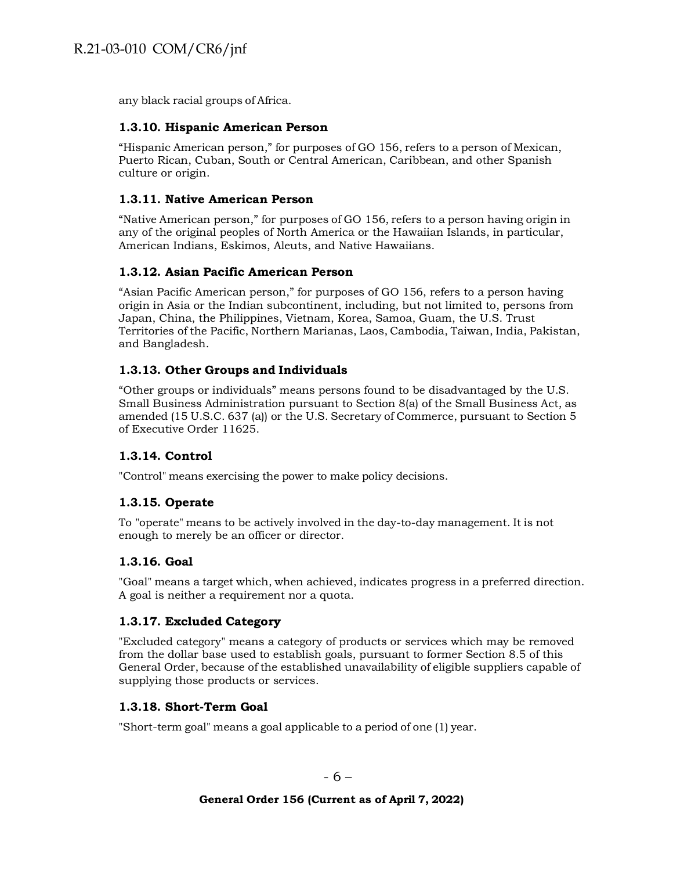any black racial groups of Africa.

#### <span id="page-5-0"></span>**1.3.10. Hispanic American Person**

"Hispanic American person," for purposes of GO 156, refers to a person of Mexican, Puerto Rican, Cuban, South or Central American, Caribbean, and other Spanish culture or origin.

### <span id="page-5-1"></span>**1.3.11. Native American Person**

"Native American person," for purposes of GO 156, refers to a person having origin in any of the original peoples of North America or the Hawaiian Islands, in particular, American Indians, Eskimos, Aleuts, and Native Hawaiians.

#### <span id="page-5-2"></span>**1.3.12. Asian Pacific American Person**

"Asian Pacific American person," for purposes of GO 156, refers to a person having origin in Asia or the Indian subcontinent, including, but not limited to, persons from Japan, China, the Philippines, Vietnam, Korea, Samoa, Guam, the U.S. Trust Territories of the Pacific, Northern Marianas, Laos, Cambodia, Taiwan, India, Pakistan, and Bangladesh.

### <span id="page-5-3"></span>**1.3.13. Other Groups and Individuals**

"Other groups or individuals" means persons found to be disadvantaged by the U.S. Small Business Administration pursuant to Section 8(a) of the Small Business Act, as amended (15 U.S.C. 637 (a)) or the U.S. Secretary of Commerce, pursuant to Section 5 of Executive Order 11625.

### <span id="page-5-4"></span>**1.3.14. Control**

"Control" means exercising the power to make policy decisions.

### <span id="page-5-5"></span>**1.3.15. Operate**

To "operate" means to be actively involved in the day-to-day management. It is not enough to merely be an officer or director.

#### <span id="page-5-6"></span>**1.3.16. Goal**

"Goal" means a target which, when achieved, indicates progress in a preferred direction. A goal is neither a requirement nor a quota.

#### <span id="page-5-7"></span>**1.3.17. Excluded Category**

"Excluded category" means a category of products or services which may be removed from the dollar base used to establish goals, pursuant to former Section 8.5 of this General Order, because of the established unavailability of eligible suppliers capable of supplying those products or services.

#### <span id="page-5-8"></span>**1.3.18. Short-Term Goal**

"Short-term goal" means a goal applicable to a period of one (1) year.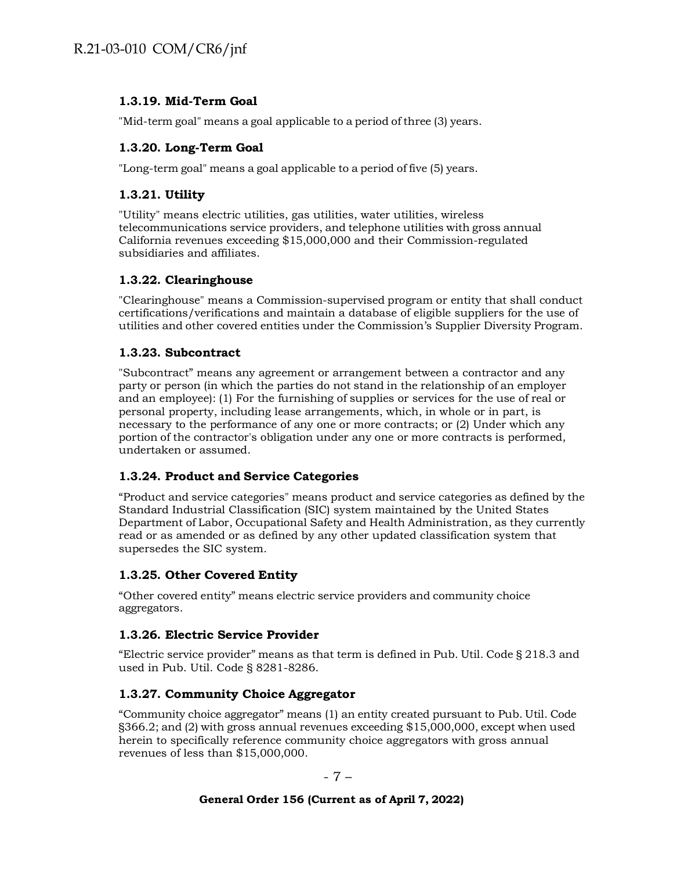### <span id="page-6-0"></span>**1.3.19. Mid-Term Goal**

"Mid-term goal" means a goal applicable to a period of three (3) years.

### <span id="page-6-1"></span>**1.3.20. Long-Term Goal**

"Long-term goal" means a goal applicable to a period of five (5) years.

### <span id="page-6-2"></span>**1.3.21. Utility**

"Utility" means electric utilities, gas utilities, water utilities, wireless telecommunications service providers, and telephone utilities with gross annual California revenues exceeding \$15,000,000 and their Commission-regulated subsidiaries and affiliates.

### <span id="page-6-3"></span>**1.3.22. Clearinghouse**

"Clearinghouse" means a Commission-supervised program or entity that shall conduct certifications/verifications and maintain a database of eligible suppliers for the use of utilities and other covered entities under the Commission's Supplier Diversity Program.

### <span id="page-6-4"></span>**1.3.23. Subcontract**

"Subcontract" means any agreement or arrangement between a contractor and any party or person (in which the parties do not stand in the relationship of an employer and an employee): (1) For the furnishing of supplies or services for the use of real or personal property, including lease arrangements, which, in whole or in part, is necessary to the performance of any one or more contracts; or (2) Under which any portion of the contractor's obligation under any one or more contracts is performed, undertaken or assumed.

### <span id="page-6-5"></span>**1.3.24. Product and Service Categories**

"Product and service categories" means product and service categories as defined by the Standard Industrial Classification (SIC) system maintained by the United States Department of Labor, Occupational Safety and Health Administration, as they currently read or as amended or as defined by any other updated classification system that supersedes the SIC system.

### <span id="page-6-6"></span>**1.3.25. Other Covered Entity**

"Other covered entity" means electric service providers and community choice aggregators.

### <span id="page-6-7"></span>**1.3.26. Electric Service Provider**

"Electric service provider" means as that term is defined in Pub. Util. Code § 218.3 and used in Pub. Util. Code § 8281-8286.

### <span id="page-6-8"></span>**1.3.27. Community Choice Aggregator**

"Community choice aggregator" means (1) an entity created pursuant to Pub. Util. Code §366.2; and (2) with gross annual revenues exceeding \$15,000,000, except when used herein to specifically reference community choice aggregators with gross annual revenues of less than \$15,000,000.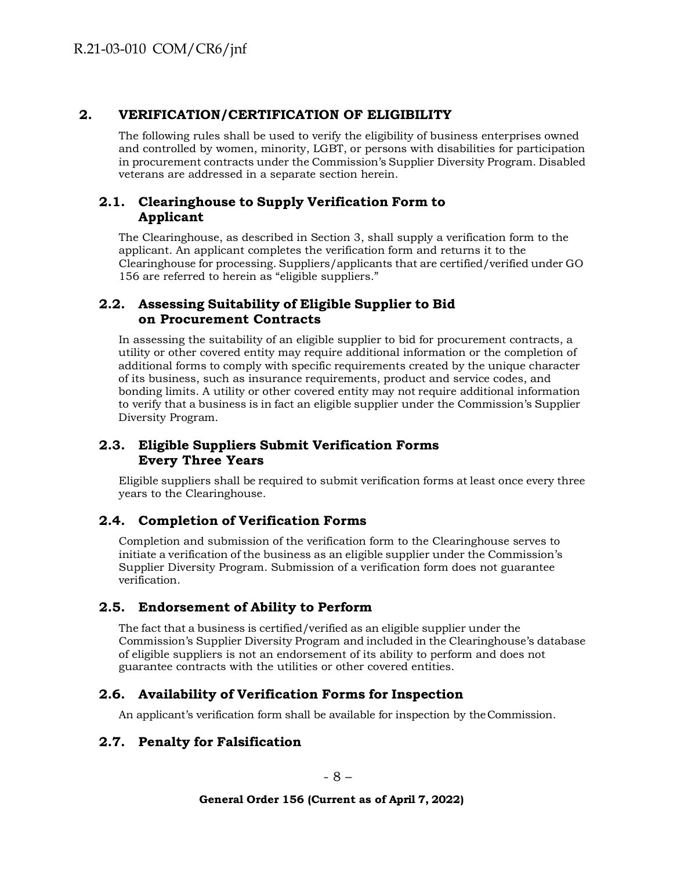## <span id="page-7-0"></span>**2. VERIFICATION/CERTIFICATION OF ELIGIBILITY**

The following rules shall be used to verify the eligibility of business enterprises owned and controlled by women, minority, LGBT, or persons with disabilities for participation in procurement contracts under the Commission's Supplier Diversity Program. Disabled veterans are addressed in a separate section herein.

## <span id="page-7-1"></span>**2.1. Clearinghouse to Supply Verification Form to Applicant**

The Clearinghouse, as described in Section 3, shall supply a verification form to the applicant. An applicant completes the verification form and returns it to the Clearinghouse for processing. Suppliers/applicants that are certified/verified under GO 156 are referred to herein as "eligible suppliers."

## <span id="page-7-2"></span>**2.2. Assessing Suitability of Eligible Supplier to Bid on Procurement Contracts**

In assessing the suitability of an eligible supplier to bid for procurement contracts, a utility or other covered entity may require additional information or the completion of additional forms to comply with specific requirements created by the unique character of its business, such as insurance requirements, product and service codes, and bonding limits. A utility or other covered entity may not require additional information to verify that a business is in fact an eligible supplier under the Commission's Supplier Diversity Program.

# <span id="page-7-3"></span>**2.3. Eligible Suppliers Submit Verification Forms Every Three Years**

Eligible suppliers shall be required to submit verification forms at least once every three years to the Clearinghouse.

## <span id="page-7-4"></span>**2.4. Completion of Verification Forms**

Completion and submission of the verification form to the Clearinghouse serves to initiate a verification of the business as an eligible supplier under the Commission's Supplier Diversity Program. Submission of a verification form does not guarantee verification.

# <span id="page-7-5"></span>**2.5. Endorsement of Ability to Perform**

The fact that a business is certified/verified as an eligible supplier under the Commission's Supplier Diversity Program and included in the Clearinghouse's database of eligible suppliers is not an endorsement of its ability to perform and does not guarantee contracts with the utilities or other covered entities.

## <span id="page-7-6"></span>**2.6. Availability of Verification Forms for Inspection**

An applicant's verification form shall be available for inspection by theCommission.

## <span id="page-7-7"></span>**2.7. Penalty for Falsification**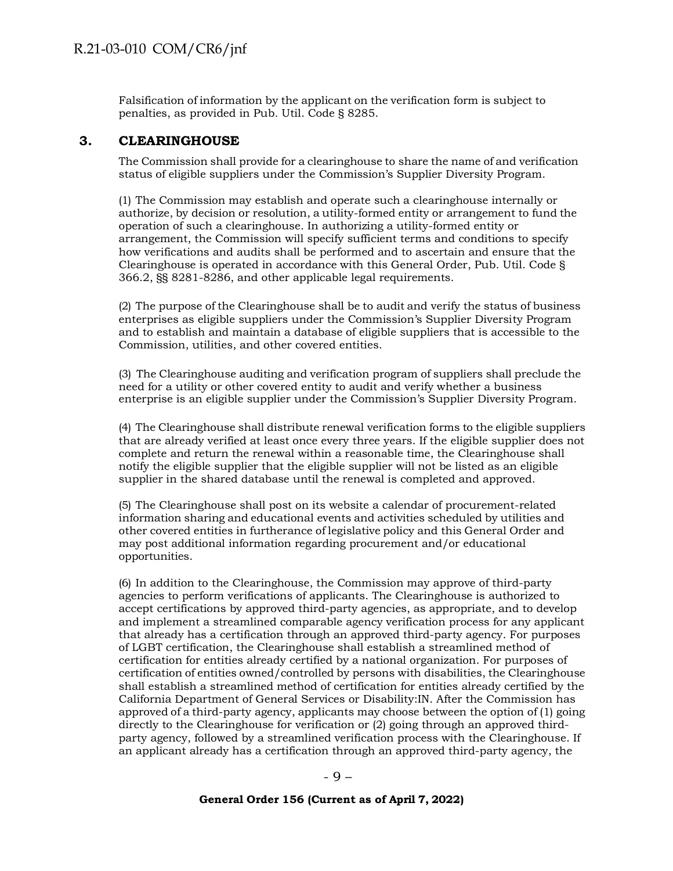Falsification of information by the applicant on the verification form is subject to penalties, as provided in Pub. Util. Code § 8285.

#### <span id="page-8-0"></span>**3. CLEARINGHOUSE**

The Commission shall provide for a clearinghouse to share the name of and verification status of eligible suppliers under the Commission's Supplier Diversity Program.

(1) The Commission may establish and operate such a clearinghouse internally or authorize, by decision or resolution, a utility-formed entity or arrangement to fund the operation of such a clearinghouse. In authorizing a utility-formed entity or arrangement, the Commission will specify sufficient terms and conditions to specify how verifications and audits shall be performed and to ascertain and ensure that the Clearinghouse is operated in accordance with this General Order, Pub. Util. Code § 366.2, §§ 8281-8286, and other applicable legal requirements.

(2) The purpose of the Clearinghouse shall be to audit and verify the status of business enterprises as eligible suppliers under the Commission's Supplier Diversity Program and to establish and maintain a database of eligible suppliers that is accessible to the Commission, utilities, and other covered entities.

(3) The Clearinghouse auditing and verification program of suppliers shall preclude the need for a utility or other covered entity to audit and verify whether a business enterprise is an eligible supplier under the Commission's Supplier Diversity Program.

(4) The Clearinghouse shall distribute renewal verification forms to the eligible suppliers that are already verified at least once every three years. If the eligible supplier does not complete and return the renewal within a reasonable time, the Clearinghouse shall notify the eligible supplier that the eligible supplier will not be listed as an eligible supplier in the shared database until the renewal is completed and approved.

(5) The Clearinghouse shall post on its website a calendar of procurement-related information sharing and educational events and activities scheduled by utilities and other covered entities in furtherance of legislative policy and this General Order and may post additional information regarding procurement and/or educational opportunities.

(6) In addition to the Clearinghouse, the Commission may approve of third-party agencies to perform verifications of applicants. The Clearinghouse is authorized to accept certifications by approved third-party agencies, as appropriate, and to develop and implement a streamlined comparable agency verification process for any applicant that already has a certification through an approved third-party agency. For purposes of LGBT certification, the Clearinghouse shall establish a streamlined method of certification for entities already certified by a national organization. For purposes of certification of entities owned/controlled by persons with disabilities, the Clearinghouse shall establish a streamlined method of certification for entities already certified by the California Department of General Services or Disability:IN. After the Commission has approved of a third-party agency, applicants may choose between the option of (1) going directly to the Clearinghouse for verification or (2) going through an approved thirdparty agency, followed by a streamlined verification process with the Clearinghouse. If an applicant already has a certification through an approved third-party agency, the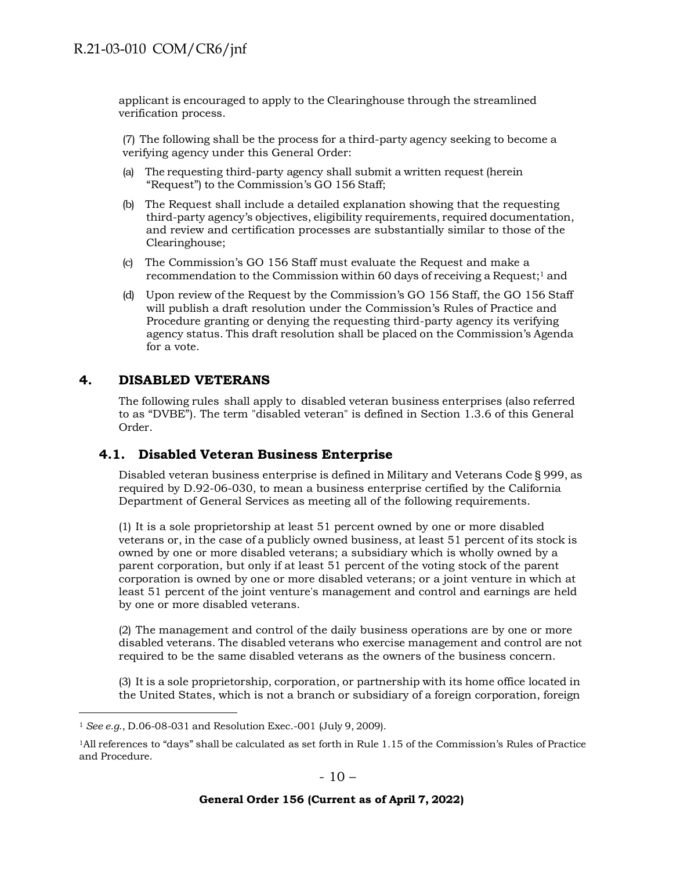applicant is encouraged to apply to the Clearinghouse through the streamlined verification process.

(7) The following shall be the process for a third-party agency seeking to become a verifying agency under this General Order:

- (a) The requesting third-party agency shall submit a written request (herein "Request") to the Commission's GO 156 Staff;
- (b) The Request shall include a detailed explanation showing that the requesting third-party agency's objectives, eligibility requirements, required documentation, and review and certification processes are substantially similar to those of the Clearinghouse;
- (c) The Commission's GO 156 Staff must evaluate the Request and make a recommendation to the Commission within 60 days of receiving a Request;[1](#page-9-2) and
- (d) Upon review of the Request by the Commission's GO 156 Staff, the GO 156 Staff will publish a draft resolution under the Commission's Rules of Practice and Procedure granting or denying the requesting third-party agency its verifying agency status. This draft resolution shall be placed on the Commission's Agenda for a vote.

### <span id="page-9-0"></span>**4. DISABLED VETERANS**

The following rules shall apply to disabled veteran business enterprises (also referred to as "DVBE"). The term "disabled veteran" is defined in Section 1.3.6 of this General Order.

### <span id="page-9-1"></span>**4.1. Disabled Veteran Business Enterprise**

Disabled veteran business enterprise is defined in Military and Veterans Code § 999, as required by D.92-06-030, to mean a business enterprise certified by the California Department of General Services as meeting all of the following requirements.

(1) It is a sole proprietorship at least 51 percent owned by one or more disabled veterans or, in the case of a publicly owned business, at least 51 percent of its stock is owned by one or more disabled veterans; a subsidiary which is wholly owned by a parent corporation, but only if at least 51 percent of the voting stock of the parent corporation is owned by one or more disabled veterans; or a joint venture in which at least 51 percent of the joint venture's management and control and earnings are held by one or more disabled veterans.

(2) The management and control of the daily business operations are by one or more disabled veterans. The disabled veterans who exercise management and control are not required to be the same disabled veterans as the owners of the business concern.

(3) It is a sole proprietorship, corporation, or partnership with its home office located in the United States, which is not a branch or subsidiary of a foreign corporation, foreign

<span id="page-9-2"></span><sup>1</sup> *See e.g*., D.06-08-031 and Resolution Exec.-001 (July 9, 2009).

<sup>1</sup>All references to "days" shall be calculated as set forth in Rule 1.15 of the Commission's Rules of Practice and Procedure.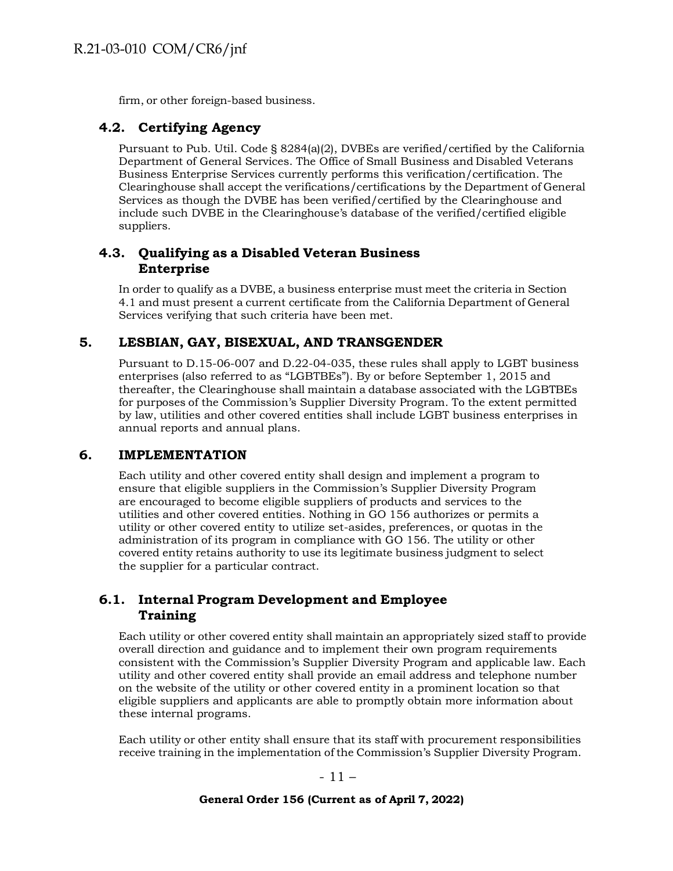firm, or other foreign-based business.

# <span id="page-10-0"></span>**4.2. Certifying Agency**

Pursuant to Pub. Util. Code § 8284(a)(2), DVBEs are verified/certified by the California Department of General Services. The Office of Small Business and Disabled Veterans Business Enterprise Services currently performs this verification/certification. The Clearinghouse shall accept the verifications/certifications by the Department of General Services as though the DVBE has been verified/certified by the Clearinghouse and include such DVBE in the Clearinghouse's database of the verified/certified eligible suppliers.

### <span id="page-10-1"></span>**4.3. Qualifying as a Disabled Veteran Business Enterprise**

In order to qualify as a DVBE, a business enterprise must meet the criteria in Section 4.1 and must present a current certificate from the California Department of General Services verifying that such criteria have been met.

## <span id="page-10-2"></span>**5. LESBIAN, GAY, BISEXUAL, AND TRANSGENDER**

Pursuant to D.15-06-007 and D.22-04-035, these rules shall apply to LGBT business enterprises (also referred to as "LGBTBEs"). By or before September 1, 2015 and thereafter, the Clearinghouse shall maintain a database associated with the LGBTBEs for purposes of the Commission's Supplier Diversity Program. To the extent permitted by law, utilities and other covered entities shall include LGBT business enterprises in annual reports and annual plans.

## <span id="page-10-3"></span>**6. IMPLEMENTATION**

Each utility and other covered entity shall design and implement a program to ensure that eligible suppliers in the Commission's Supplier Diversity Program are encouraged to become eligible suppliers of products and services to the utilities and other covered entities. Nothing in GO 156 authorizes or permits a utility or other covered entity to utilize set-asides, preferences, or quotas in the administration of its program in compliance with GO 156. The utility or other covered entity retains authority to use its legitimate business judgment to select the supplier for a particular contract.

## <span id="page-10-4"></span>**6.1. Internal Program Development and Employee Training**

Each utility or other covered entity shall maintain an appropriately sized staff to provide overall direction and guidance and to implement their own program requirements consistent with the Commission's Supplier Diversity Program and applicable law. Each utility and other covered entity shall provide an email address and telephone number on the website of the utility or other covered entity in a prominent location so that eligible suppliers and applicants are able to promptly obtain more information about these internal programs.

Each utility or other entity shall ensure that its staff with procurement responsibilities receive training in the implementation of the Commission's Supplier Diversity Program.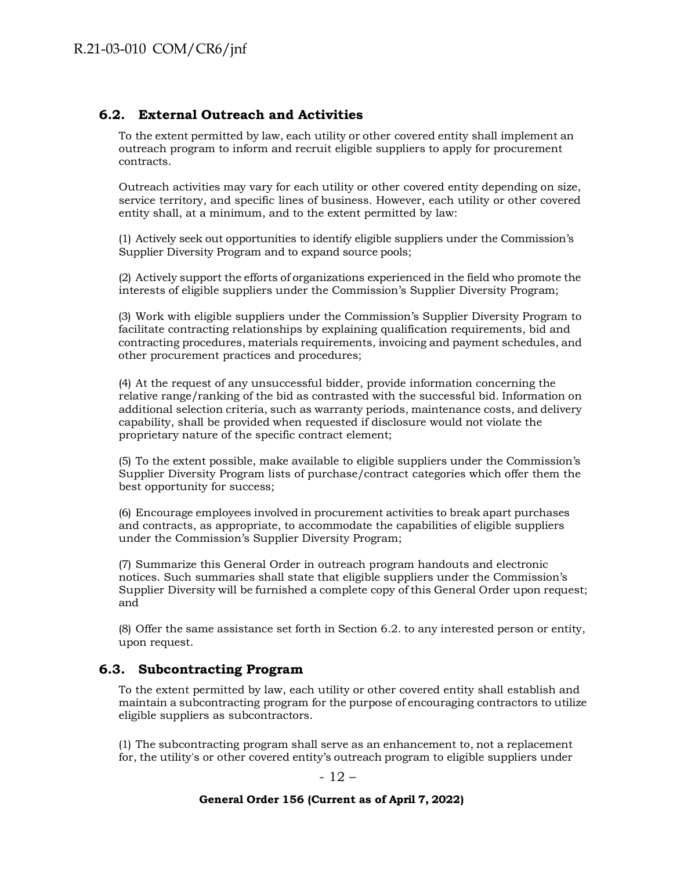## <span id="page-11-0"></span>**6.2. External Outreach and Activities**

To the extent permitted by law, each utility or other covered entity shall implement an outreach program to inform and recruit eligible suppliers to apply for procurement contracts.

Outreach activities may vary for each utility or other covered entity depending on size, service territory, and specific lines of business. However, each utility or other covered entity shall, at a minimum, and to the extent permitted by law:

(1) Actively seek out opportunities to identify eligible suppliers under the Commission's Supplier Diversity Program and to expand source pools;

(2) Actively support the efforts of organizations experienced in the field who promote the interests of eligible suppliers under the Commission's Supplier Diversity Program;

(3) Work with eligible suppliers under the Commission's Supplier Diversity Program to facilitate contracting relationships by explaining qualification requirements, bid and contracting procedures, materials requirements, invoicing and payment schedules, and other procurement practices and procedures;

(4) At the request of any unsuccessful bidder, provide information concerning the relative range/ranking of the bid as contrasted with the successful bid. Information on additional selection criteria, such as warranty periods, maintenance costs, and delivery capability, shall be provided when requested if disclosure would not violate the proprietary nature of the specific contract element;

(5) To the extent possible, make available to eligible suppliers under the Commission's Supplier Diversity Program lists of purchase/contract categories which offer them the best opportunity for success;

(6) Encourage employees involved in procurement activities to break apart purchases and contracts, as appropriate, to accommodate the capabilities of eligible suppliers under the Commission's Supplier Diversity Program;

(7) Summarize this General Order in outreach program handouts and electronic notices. Such summaries shall state that eligible suppliers under the Commission's Supplier Diversity will be furnished a complete copy of this General Order upon request; and

(8) Offer the same assistance set forth in Section 6.2. to any interested person or entity, upon request.

## <span id="page-11-1"></span>**6.3. Subcontracting Program**

To the extent permitted by law, each utility or other covered entity shall establish and maintain a subcontracting program for the purpose of encouraging contractors to utilize eligible suppliers as subcontractors.

(1) The subcontracting program shall serve as an enhancement to, not a replacement for, the utility's or other covered entity's outreach program to eligible suppliers under

- 12 –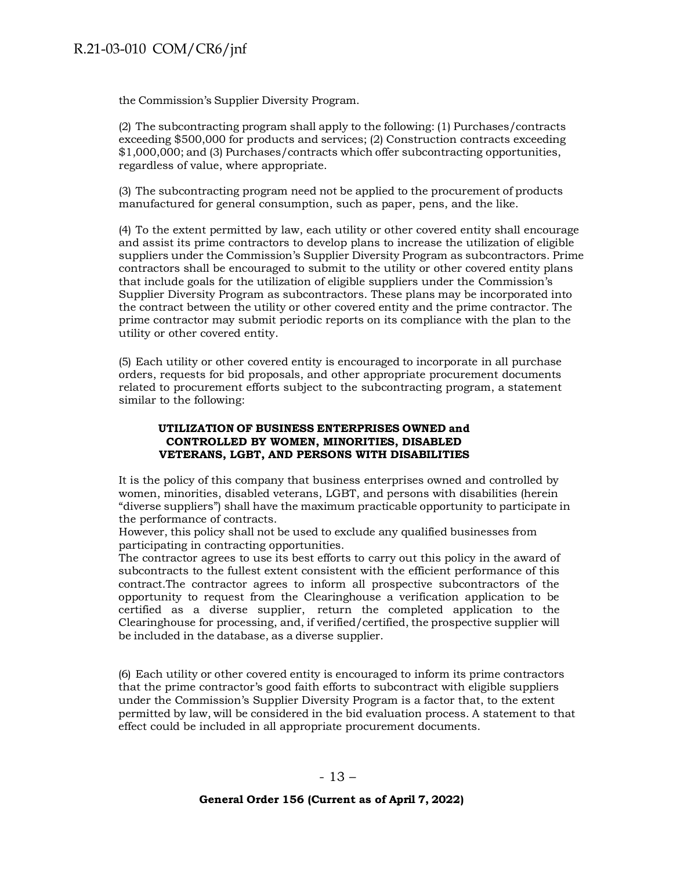# R.21-03-010 COM/CR6/jnf

the Commission's Supplier Diversity Program.

(2) The subcontracting program shall apply to the following: (1) Purchases/contracts exceeding \$500,000 for products and services; (2) Construction contracts exceeding \$1,000,000; and (3) Purchases/contracts which offer subcontracting opportunities, regardless of value, where appropriate.

(3) The subcontracting program need not be applied to the procurement of products manufactured for general consumption, such as paper, pens, and the like.

(4) To the extent permitted by law, each utility or other covered entity shall encourage and assist its prime contractors to develop plans to increase the utilization of eligible suppliers under the Commission's Supplier Diversity Program as subcontractors. Prime contractors shall be encouraged to submit to the utility or other covered entity plans that include goals for the utilization of eligible suppliers under the Commission's Supplier Diversity Program as subcontractors. These plans may be incorporated into the contract between the utility or other covered entity and the prime contractor. The prime contractor may submit periodic reports on its compliance with the plan to the utility or other covered entity.

(5) Each utility or other covered entity is encouraged to incorporate in all purchase orders, requests for bid proposals, and other appropriate procurement documents related to procurement efforts subject to the subcontracting program, a statement similar to the following:

#### **UTILIZATION OF BUSINESS ENTERPRISES OWNED and CONTROLLED BY WOMEN, MINORITIES, DISABLED VETERANS, LGBT, AND PERSONS WITH DISABILITIES**

It is the policy of this company that business enterprises owned and controlled by women, minorities, disabled veterans, LGBT, and persons with disabilities (herein "diverse suppliers") shall have the maximum practicable opportunity to participate in the performance of contracts.

However, this policy shall not be used to exclude any qualified businesses from participating in contracting opportunities.

The contractor agrees to use its best efforts to carry out this policy in the award of subcontracts to the fullest extent consistent with the efficient performance of this contract.The contractor agrees to inform all prospective subcontractors of the opportunity to request from the Clearinghouse a verification application to be certified as a diverse supplier, return the completed application to the Clearinghouse for processing, and, if verified/certified, the prospective supplier will be included in the database, as a diverse supplier.

(6) Each utility or other covered entity is encouraged to inform its prime contractors that the prime contractor's good faith efforts to subcontract with eligible suppliers under the Commission's Supplier Diversity Program is a factor that, to the extent permitted by law, will be considered in the bid evaluation process. A statement to that effect could be included in all appropriate procurement documents.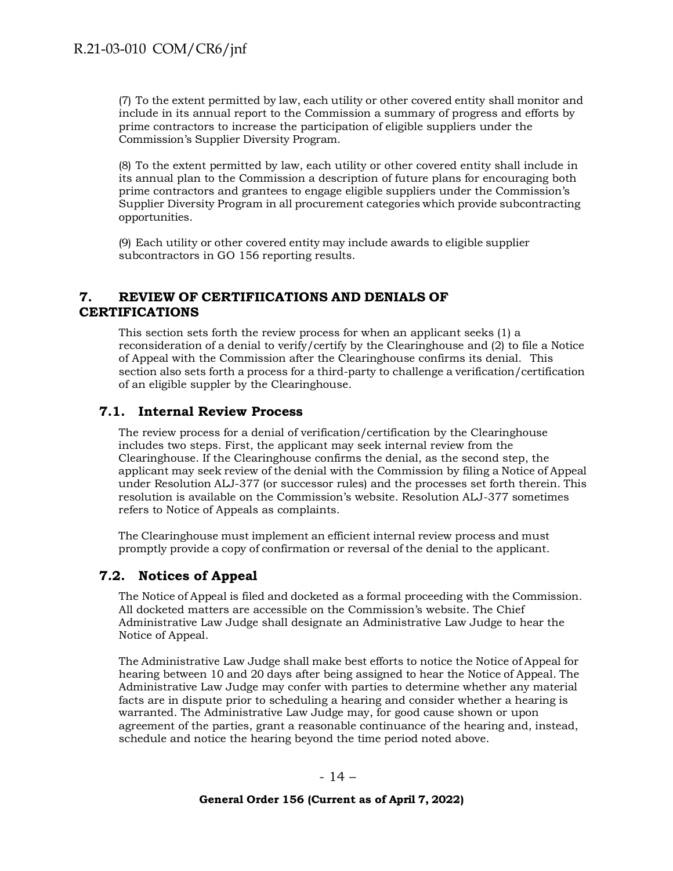(7) To the extent permitted by law, each utility or other covered entity shall monitor and include in its annual report to the Commission a summary of progress and efforts by prime contractors to increase the participation of eligible suppliers under the Commission's Supplier Diversity Program.

(8) To the extent permitted by law, each utility or other covered entity shall include in its annual plan to the Commission a description of future plans for encouraging both prime contractors and grantees to engage eligible suppliers under the Commission's Supplier Diversity Program in all procurement categories which provide subcontracting opportunities.

(9) Each utility or other covered entity may include awards to eligible supplier subcontractors in GO 156 reporting results.

### <span id="page-13-0"></span>**7. REVIEW OF CERTIFIICATIONS AND DENIALS OF CERTIFICATIONS**

This section sets forth the review process for when an applicant seeks (1) a reconsideration of a denial to verify/certify by the Clearinghouse and (2) to file a Notice of Appeal with the Commission after the Clearinghouse confirms its denial. This section also sets forth a process for a third-party to challenge a verification/certification of an eligible suppler by the Clearinghouse.

## <span id="page-13-1"></span>**7.1. Internal Review Process**

The review process for a denial of verification/certification by the Clearinghouse includes two steps. First, the applicant may seek internal review from the Clearinghouse. If the Clearinghouse confirms the denial, as the second step, the applicant may seek review of the denial with the Commission by filing a Notice of Appeal under Resolution ALJ-377 (or successor rules) and the processes set forth therein. This resolution is available on the Commission's website. Resolution ALJ-377 sometimes refers to Notice of Appeals as complaints.

The Clearinghouse must implement an efficient internal review process and must promptly provide a copy of confirmation or reversal of the denial to the applicant.

## <span id="page-13-2"></span>**7.2. Notices of Appeal**

The Notice of Appeal is filed and docketed as a formal proceeding with the Commission. All docketed matters are accessible on the Commission's website. The Chief Administrative Law Judge shall designate an Administrative Law Judge to hear the Notice of Appeal.

The Administrative Law Judge shall make best efforts to notice the Notice of Appeal for hearing between 10 and 20 days after being assigned to hear the Notice of Appeal. The Administrative Law Judge may confer with parties to determine whether any material facts are in dispute prior to scheduling a hearing and consider whether a hearing is warranted. The Administrative Law Judge may, for good cause shown or upon agreement of the parties, grant a reasonable continuance of the hearing and, instead, schedule and notice the hearing beyond the time period noted above.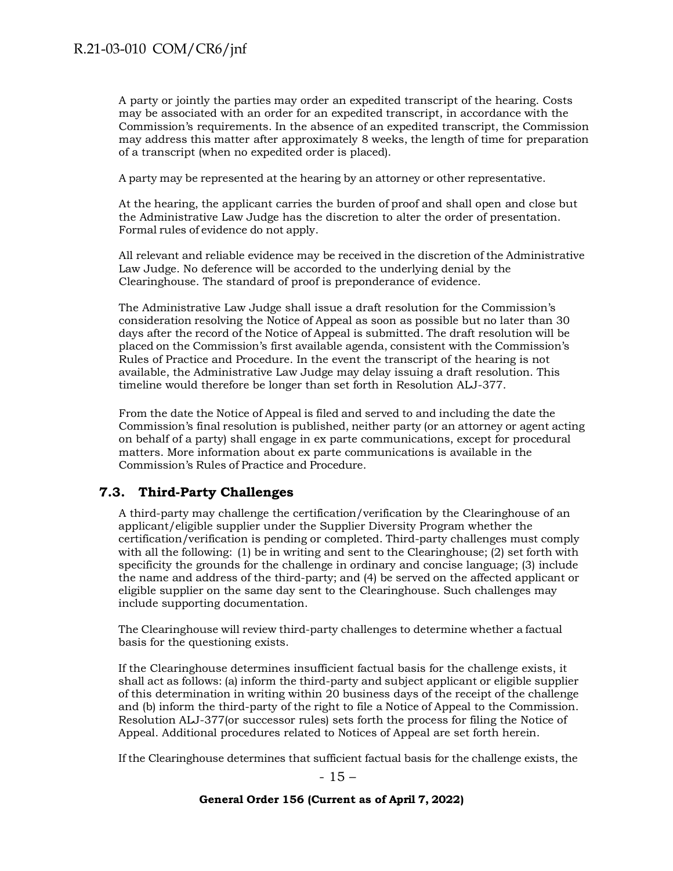A party or jointly the parties may order an expedited transcript of the hearing. Costs may be associated with an order for an expedited transcript, in accordance with the Commission's requirements. In the absence of an expedited transcript, the Commission may address this matter after approximately 8 weeks, the length of time for preparation of a transcript (when no expedited order is placed).

A party may be represented at the hearing by an attorney or other representative.

At the hearing, the applicant carries the burden of proof and shall open and close but the Administrative Law Judge has the discretion to alter the order of presentation. Formal rules of evidence do not apply.

All relevant and reliable evidence may be received in the discretion of the Administrative Law Judge. No deference will be accorded to the underlying denial by the Clearinghouse. The standard of proof is preponderance of evidence.

The Administrative Law Judge shall issue a draft resolution for the Commission's consideration resolving the Notice of Appeal as soon as possible but no later than 30 days after the record of the Notice of Appeal is submitted. The draft resolution will be placed on the Commission's first available agenda, consistent with the Commission's Rules of Practice and Procedure. In the event the transcript of the hearing is not available, the Administrative Law Judge may delay issuing a draft resolution. This timeline would therefore be longer than set forth in Resolution ALJ-377.

From the date the Notice of Appeal is filed and served to and including the date the Commission's final resolution is published, neither party (or an attorney or agent acting on behalf of a party) shall engage in ex parte communications, except for procedural matters. More information about ex parte communications is available in the Commission's Rules of Practice and Procedure.

## <span id="page-14-0"></span>**7.3. Third-Party Challenges**

A third-party may challenge the certification/verification by the Clearinghouse of an applicant/eligible supplier under the Supplier Diversity Program whether the certification/verification is pending or completed. Third-party challenges must comply with all the following: (1) be in writing and sent to the Clearinghouse; (2) set forth with specificity the grounds for the challenge in ordinary and concise language; (3) include the name and address of the third-party; and (4) be served on the affected applicant or eligible supplier on the same day sent to the Clearinghouse. Such challenges may include supporting documentation.

The Clearinghouse will review third-party challenges to determine whether a factual basis for the questioning exists.

If the Clearinghouse determines insufficient factual basis for the challenge exists, it shall act as follows: (a) inform the third-party and subject applicant or eligible supplier of this determination in writing within 20 business days of the receipt of the challenge and (b) inform the third-party of the right to file a Notice of Appeal to the Commission. Resolution ALJ-377(or successor rules) sets forth the process for filing the Notice of Appeal. Additional procedures related to Notices of Appeal are set forth herein.

If the Clearinghouse determines that sufficient factual basis for the challenge exists, the

- 15 –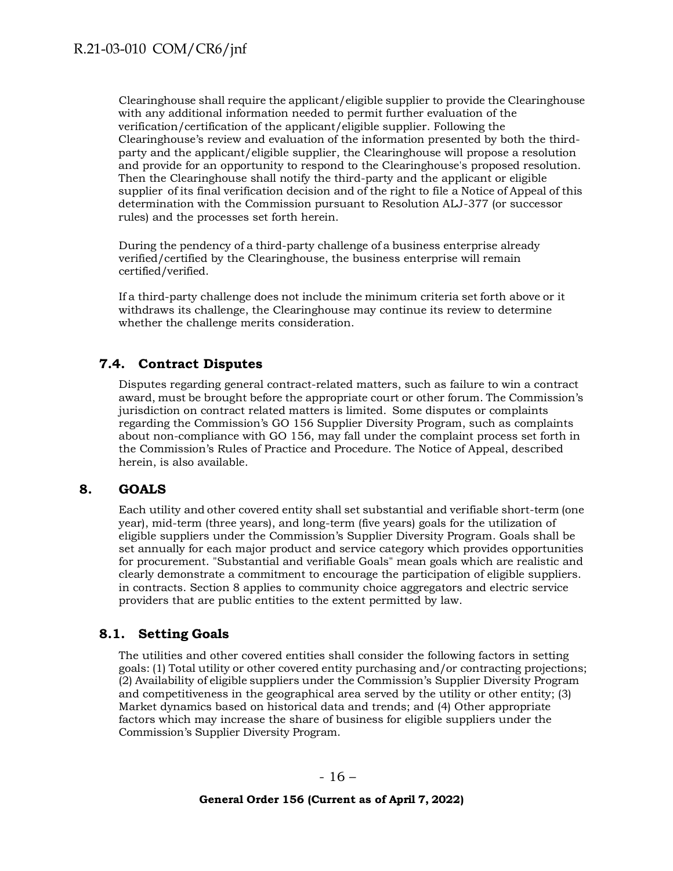Clearinghouse shall require the applicant/eligible supplier to provide the Clearinghouse with any additional information needed to permit further evaluation of the verification/certification of the applicant/eligible supplier. Following the Clearinghouse's review and evaluation of the information presented by both the thirdparty and the applicant/eligible supplier, the Clearinghouse will propose a resolution and provide for an opportunity to respond to the Clearinghouse's proposed resolution. Then the Clearinghouse shall notify the third-party and the applicant or eligible supplier of its final verification decision and of the right to file a Notice of Appeal of this determination with the Commission pursuant to Resolution ALJ-377 (or successor rules) and the processes set forth herein.

During the pendency of a third-party challenge of a business enterprise already verified/certified by the Clearinghouse, the business enterprise will remain certified/verified.

If a third-party challenge does not include the minimum criteria set forth above or it withdraws its challenge, the Clearinghouse may continue its review to determine whether the challenge merits consideration.

# <span id="page-15-0"></span>**7.4. Contract Disputes**

Disputes regarding general contract-related matters, such as failure to win a contract award, must be brought before the appropriate court or other forum. The Commission's jurisdiction on contract related matters is limited. Some disputes or complaints regarding the Commission's GO 156 Supplier Diversity Program, such as complaints about non-compliance with GO 156, may fall under the complaint process set forth in the Commission's Rules of Practice and Procedure. The Notice of Appeal, described herein, is also available.

### <span id="page-15-1"></span>**8. GOALS**

Each utility and other covered entity shall set substantial and verifiable short-term (one year), mid-term (three years), and long-term (five years) goals for the utilization of eligible suppliers under the Commission's Supplier Diversity Program. Goals shall be set annually for each major product and service category which provides opportunities for procurement. "Substantial and verifiable Goals" mean goals which are realistic and clearly demonstrate a commitment to encourage the participation of eligible suppliers. in contracts. Section 8 applies to community choice aggregators and electric service providers that are public entities to the extent permitted by law.

## <span id="page-15-2"></span>**8.1. Setting Goals**

The utilities and other covered entities shall consider the following factors in setting goals: (1) Total utility or other covered entity purchasing and/or contracting projections; (2) Availability of eligible suppliers under the Commission's Supplier Diversity Program and competitiveness in the geographical area served by the utility or other entity; (3) Market dynamics based on historical data and trends; and (4) Other appropriate factors which may increase the share of business for eligible suppliers under the Commission's Supplier Diversity Program.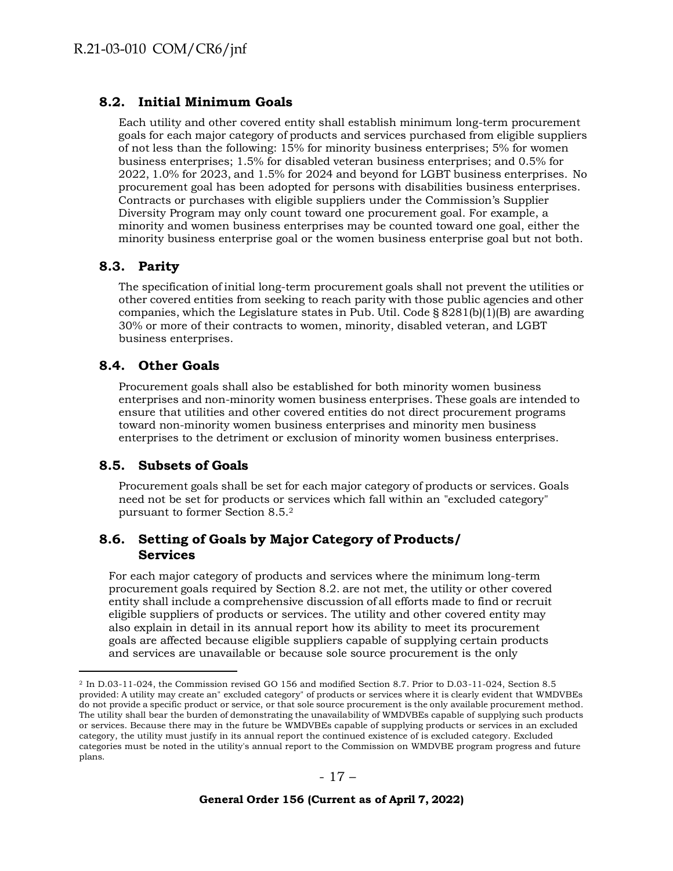### <span id="page-16-0"></span>**8.2. Initial Minimum Goals**

Each utility and other covered entity shall establish minimum long-term procurement goals for each major category of products and services purchased from eligible suppliers of not less than the following: 15% for minority business enterprises; 5% for women business enterprises; 1.5% for disabled veteran business enterprises; and 0.5% for 2022, 1.0% for 2023, and 1.5% for 2024 and beyond for LGBT business enterprises. No procurement goal has been adopted for persons with disabilities business enterprises. Contracts or purchases with eligible suppliers under the Commission's Supplier Diversity Program may only count toward one procurement goal. For example, a minority and women business enterprises may be counted toward one goal, either the minority business enterprise goal or the women business enterprise goal but not both.

### <span id="page-16-1"></span>**8.3. Parity**

The specification of initial long-term procurement goals shall not prevent the utilities or other covered entities from seeking to reach parity with those public agencies and other companies, which the Legislature states in Pub. Util. Code  $\S 8281(b)(1)(B)$  are awarding 30% or more of their contracts to women, minority, disabled veteran, and LGBT business enterprises.

### <span id="page-16-2"></span>**8.4. Other Goals**

Procurement goals shall also be established for both minority women business enterprises and non-minority women business enterprises. These goals are intended to ensure that utilities and other covered entities do not direct procurement programs toward non-minority women business enterprises and minority men business enterprises to the detriment or exclusion of minority women business enterprises.

### <span id="page-16-3"></span>**8.5. Subsets of Goals**

Procurement goals shall be set for each major category of products or services. Goals need not be set for products or services which fall within an "excluded category" pursuant to former Section 8.5.[2](#page-16-5)

### <span id="page-16-4"></span>**8.6. Setting of Goals by Major Category of Products/ Services**

For each major category of products and services where the minimum long-term procurement goals required by Section 8.2. are not met, the utility or other covered entity shall include a comprehensive discussion of all efforts made to find or recruit eligible suppliers of products or services. The utility and other covered entity may also explain in detail in its annual report how its ability to meet its procurement goals are affected because eligible suppliers capable of supplying certain products and services are unavailable or because sole source procurement is the only

<span id="page-16-5"></span><sup>2</sup> In D.03-11-024, the Commission revised GO 156 and modified Section 8.7. Prior to D.03-11-024, Section 8.5 provided: A utility may create an" excluded category" of products or services where it is clearly evident that WMDVBEs do not provide a specific product or service, or that sole source procurement is the only available procurement method. The utility shall bear the burden of demonstrating the unavailability of WMDVBEs capable of supplying such products or services. Because there may in the future be WMDVBEs capable of supplying products or services in an excluded category, the utility must justify in its annual report the continued existence of is excluded category. Excluded categories must be noted in the utility's annual report to the Commission on WMDVBE program progress and future plans.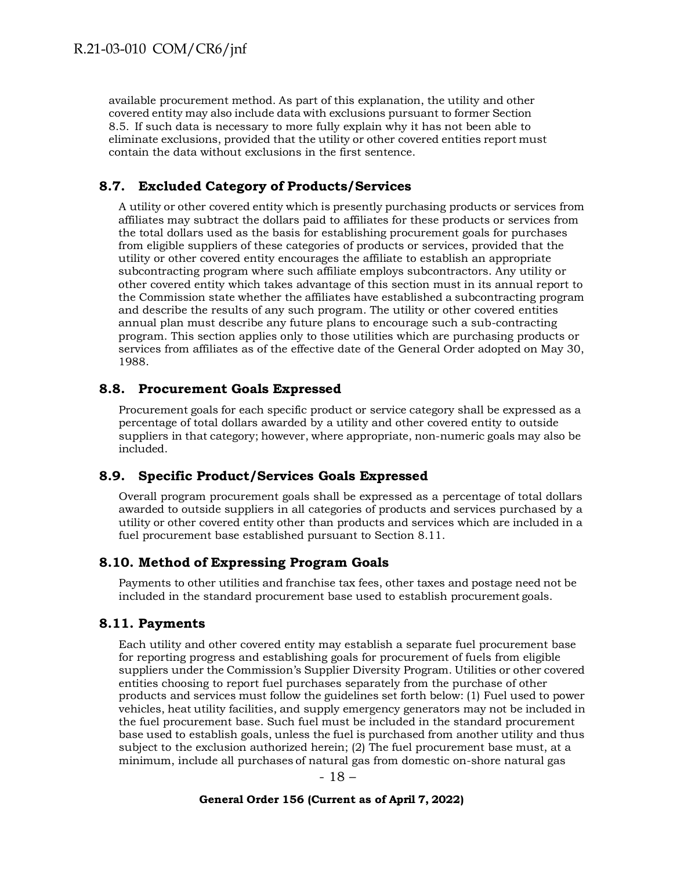available procurement method. As part of this explanation, the utility and other covered entity may also include data with exclusions pursuant to former Section 8.5. If such data is necessary to more fully explain why it has not been able to eliminate exclusions, provided that the utility or other covered entities report must contain the data without exclusions in the first sentence.

### <span id="page-17-0"></span>**8.7. Excluded Category of Products/Services**

A utility or other covered entity which is presently purchasing products or services from affiliates may subtract the dollars paid to affiliates for these products or services from the total dollars used as the basis for establishing procurement goals for purchases from eligible suppliers of these categories of products or services, provided that the utility or other covered entity encourages the affiliate to establish an appropriate subcontracting program where such affiliate employs subcontractors. Any utility or other covered entity which takes advantage of this section must in its annual report to the Commission state whether the affiliates have established a subcontracting program and describe the results of any such program. The utility or other covered entities annual plan must describe any future plans to encourage such a sub-contracting program. This section applies only to those utilities which are purchasing products or services from affiliates as of the effective date of the General Order adopted on May 30, 1988.

#### <span id="page-17-1"></span>**8.8. Procurement Goals Expressed**

Procurement goals for each specific product or service category shall be expressed as a percentage of total dollars awarded by a utility and other covered entity to outside suppliers in that category; however, where appropriate, non-numeric goals may also be included.

#### <span id="page-17-2"></span>**8.9. Specific Product/Services Goals Expressed**

Overall program procurement goals shall be expressed as a percentage of total dollars awarded to outside suppliers in all categories of products and services purchased by a utility or other covered entity other than products and services which are included in a fuel procurement base established pursuant to Section 8.11.

### <span id="page-17-3"></span>**8.10. Method of Expressing Program Goals**

Payments to other utilities and franchise tax fees, other taxes and postage need not be included in the standard procurement base used to establish procurement goals.

#### <span id="page-17-4"></span>**8.11. Payments**

Each utility and other covered entity may establish a separate fuel procurement base for reporting progress and establishing goals for procurement of fuels from eligible suppliers under the Commission's Supplier Diversity Program. Utilities or other covered entities choosing to report fuel purchases separately from the purchase of other products and services must follow the guidelines set forth below: (1) Fuel used to power vehicles, heat utility facilities, and supply emergency generators may not be included in the fuel procurement base. Such fuel must be included in the standard procurement base used to establish goals, unless the fuel is purchased from another utility and thus subject to the exclusion authorized herein; (2) The fuel procurement base must, at a minimum, include all purchases of natural gas from domestic on-shore natural gas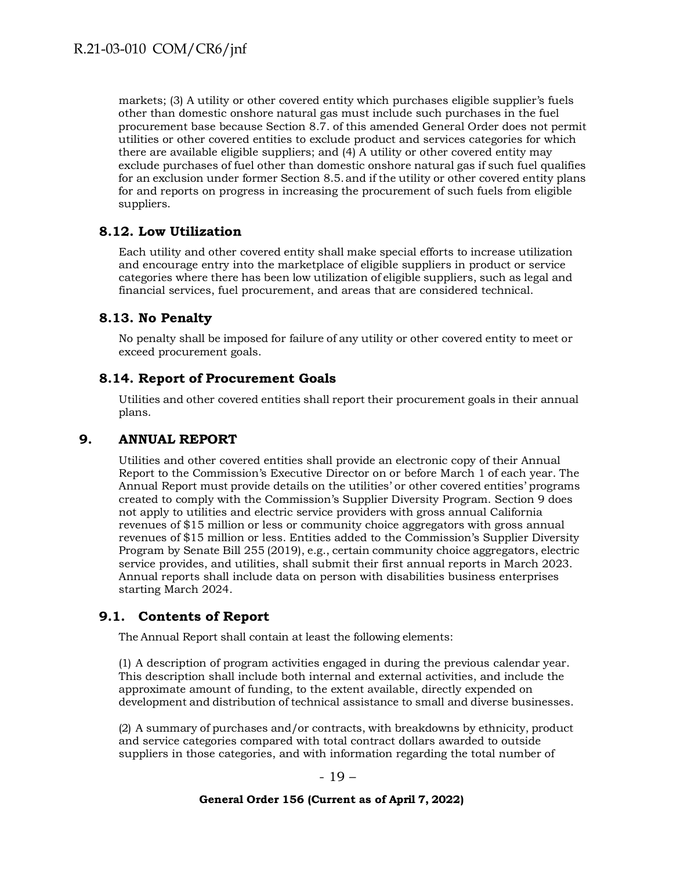markets; (3) A utility or other covered entity which purchases eligible supplier's fuels other than domestic onshore natural gas must include such purchases in the fuel procurement base because Section 8.7. of this amended General Order does not permit utilities or other covered entities to exclude product and services categories for which there are available eligible suppliers; and (4) A utility or other covered entity may exclude purchases of fuel other than domestic onshore natural gas if such fuel qualifies for an exclusion under former Section 8.5.and if the utility or other covered entity plans for and reports on progress in increasing the procurement of such fuels from eligible suppliers.

### <span id="page-18-0"></span>**8.12. Low Utilization**

Each utility and other covered entity shall make special efforts to increase utilization and encourage entry into the marketplace of eligible suppliers in product or service categories where there has been low utilization of eligible suppliers, such as legal and financial services, fuel procurement, and areas that are considered technical.

### <span id="page-18-1"></span>**8.13. No Penalty**

No penalty shall be imposed for failure of any utility or other covered entity to meet or exceed procurement goals.

## <span id="page-18-2"></span>**8.14. Report of Procurement Goals**

Utilities and other covered entities shall report their procurement goals in their annual plans.

### <span id="page-18-3"></span>**9. ANNUAL REPORT**

Utilities and other covered entities shall provide an electronic copy of their Annual Report to the Commission's Executive Director on or before March 1 of each year. The Annual Report must provide details on the utilities' or other covered entities' programs created to comply with the Commission's Supplier Diversity Program. Section 9 does not apply to utilities and electric service providers with gross annual California revenues of \$15 million or less or community choice aggregators with gross annual revenues of \$15 million or less. Entities added to the Commission's Supplier Diversity Program by Senate Bill 255 (2019), e.g., certain community choice aggregators, electric service provides, and utilities, shall submit their first annual reports in March 2023. Annual reports shall include data on person with disabilities business enterprises starting March 2024.

## <span id="page-18-4"></span>**9.1. Contents of Report**

The Annual Report shall contain at least the following elements:

(1) A description of program activities engaged in during the previous calendar year. This description shall include both internal and external activities, and include the approximate amount of funding, to the extent available, directly expended on development and distribution of technical assistance to small and diverse businesses.

(2) A summary of purchases and/or contracts, with breakdowns by ethnicity, product and service categories compared with total contract dollars awarded to outside suppliers in those categories, and with information regarding the total number of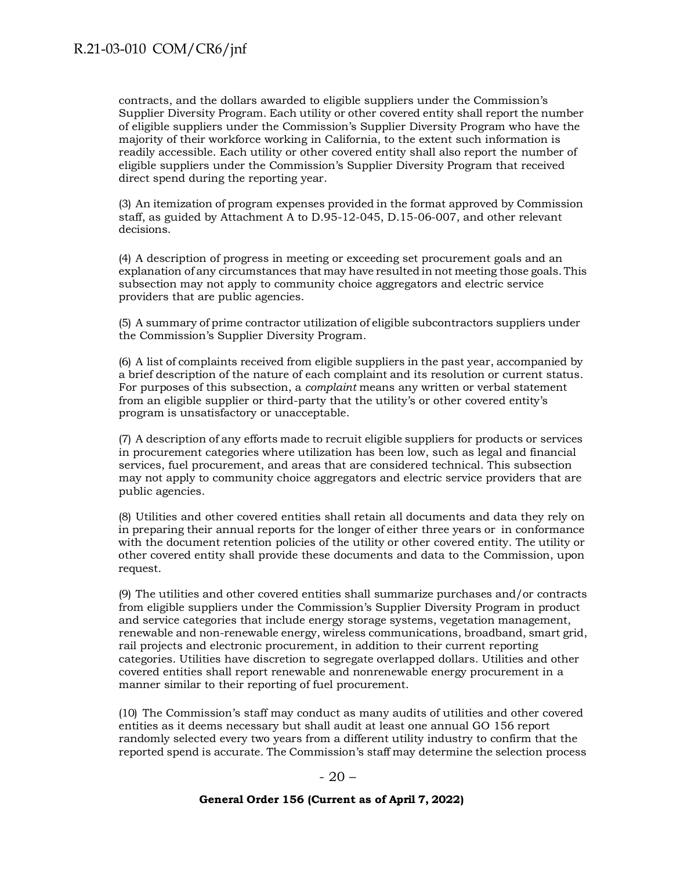contracts, and the dollars awarded to eligible suppliers under the Commission's Supplier Diversity Program. Each utility or other covered entity shall report the number of eligible suppliers under the Commission's Supplier Diversity Program who have the majority of their workforce working in California, to the extent such information is readily accessible. Each utility or other covered entity shall also report the number of eligible suppliers under the Commission's Supplier Diversity Program that received direct spend during the reporting year.

(3) An itemization of program expenses provided in the format approved by Commission staff, as guided by Attachment A to D.95-12-045, D.15-06-007, and other relevant decisions.

(4) A description of progress in meeting or exceeding set procurement goals and an explanation of any circumstances that may have resulted in not meeting those goals. This subsection may not apply to community choice aggregators and electric service providers that are public agencies.

(5) A summary of prime contractor utilization of eligible subcontractors suppliers under the Commission's Supplier Diversity Program.

(6) A list of complaints received from eligible suppliers in the past year, accompanied by a brief description of the nature of each complaint and its resolution or current status. For purposes of this subsection, a *complaint* means any written or verbal statement from an eligible supplier or third-party that the utility's or other covered entity's program is unsatisfactory or unacceptable.

(7) A description of any efforts made to recruit eligible suppliers for products or services in procurement categories where utilization has been low, such as legal and financial services, fuel procurement, and areas that are considered technical. This subsection may not apply to community choice aggregators and electric service providers that are public agencies.

(8) Utilities and other covered entities shall retain all documents and data they rely on in preparing their annual reports for the longer of either three years or in conformance with the document retention policies of the utility or other covered entity. The utility or other covered entity shall provide these documents and data to the Commission, upon request.

(9) The utilities and other covered entities shall summarize purchases and/or contracts from eligible suppliers under the Commission's Supplier Diversity Program in product and service categories that include energy storage systems, vegetation management, renewable and non-renewable energy, wireless communications, broadband, smart grid, rail projects and electronic procurement, in addition to their current reporting categories. Utilities have discretion to segregate overlapped dollars. Utilities and other covered entities shall report renewable and nonrenewable energy procurement in a manner similar to their reporting of fuel procurement.

(10) The Commission's staff may conduct as many audits of utilities and other covered entities as it deems necessary but shall audit at least one annual GO 156 report randomly selected every two years from a different utility industry to confirm that the reported spend is accurate. The Commission's staff may determine the selection process

#### $-20-$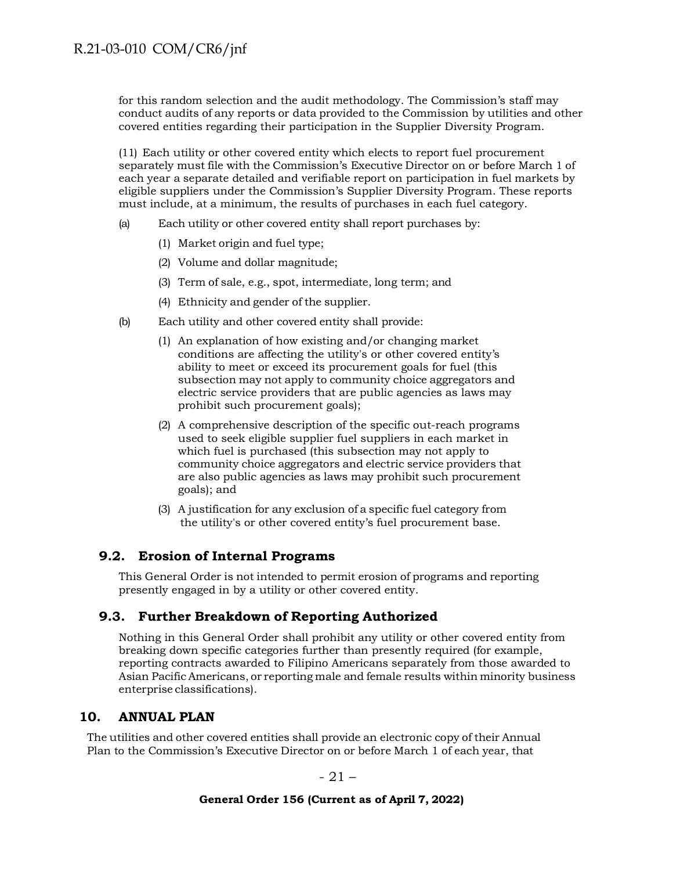for this random selection and the audit methodology. The Commission's staff may conduct audits of any reports or data provided to the Commission by utilities and other covered entities regarding their participation in the Supplier Diversity Program.

(11) Each utility or other covered entity which elects to report fuel procurement separately must file with the Commission's Executive Director on or before March 1 of each year a separate detailed and verifiable report on participation in fuel markets by eligible suppliers under the Commission's Supplier Diversity Program. These reports must include, at a minimum, the results of purchases in each fuel category.

- (a) Each utility or other covered entity shall report purchases by:
	- (1) Market origin and fuel type;
	- (2) Volume and dollar magnitude;
	- (3) Term of sale, e.g., spot, intermediate, long term; and
	- (4) Ethnicity and gender of the supplier.
- (b) Each utility and other covered entity shall provide:
	- (1) An explanation of how existing and/or changing market conditions are affecting the utility's or other covered entity's ability to meet or exceed its procurement goals for fuel (this subsection may not apply to community choice aggregators and electric service providers that are public agencies as laws may prohibit such procurement goals);
	- (2) A comprehensive description of the specific out-reach programs used to seek eligible supplier fuel suppliers in each market in which fuel is purchased (this subsection may not apply to community choice aggregators and electric service providers that are also public agencies as laws may prohibit such procurement goals); and
	- (3) A justification for any exclusion of a specific fuel category from the utility's or other covered entity's fuel procurement base.

## <span id="page-20-0"></span>**9.2. Erosion of Internal Programs**

This General Order is not intended to permit erosion of programs and reporting presently engaged in by a utility or other covered entity.

### <span id="page-20-1"></span>**9.3. Further Breakdown of Reporting Authorized**

Nothing in this General Order shall prohibit any utility or other covered entity from breaking down specific categories further than presently required (for example, reporting contracts awarded to Filipino Americans separately from those awarded to Asian Pacific Americans, or reporting male and female results within minority business enterprise classifications).

### <span id="page-20-2"></span>**10. ANNUAL PLAN**

The utilities and other covered entities shall provide an electronic copy of their Annual Plan to the Commission's Executive Director on or before March 1 of each year, that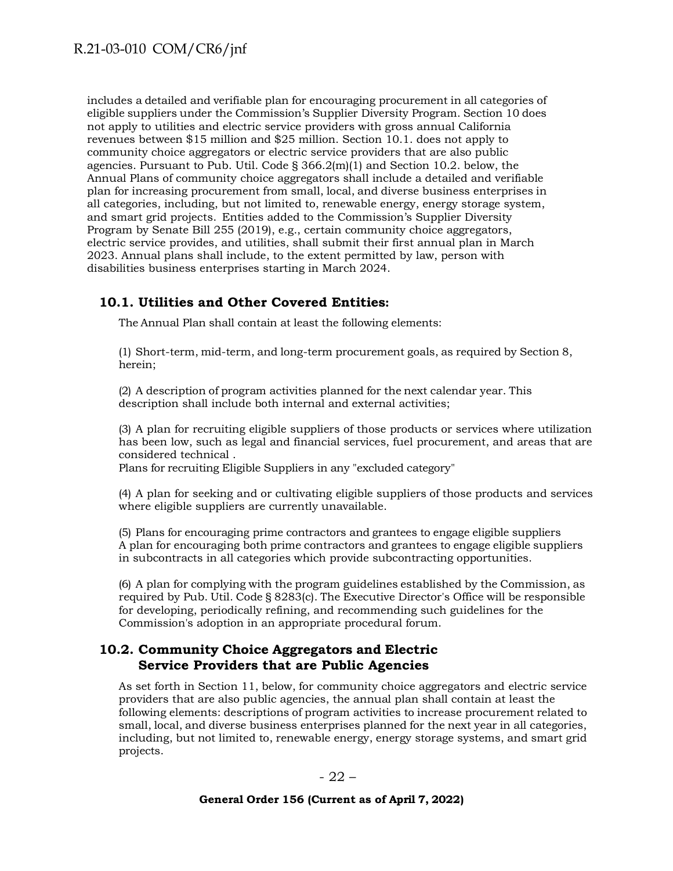includes a detailed and verifiable plan for encouraging procurement in all categories of eligible suppliers under the Commission's Supplier Diversity Program. Section 10 does not apply to utilities and electric service providers with gross annual California revenues between \$15 million and \$25 million. Section 10.1. does not apply to community choice aggregators or electric service providers that are also public agencies. Pursuant to Pub. Util. Code  $\S 366.2(m)(1)$  and Section 10.2. below, the Annual Plans of community choice aggregators shall include a detailed and verifiable plan for increasing procurement from small, local, and diverse business enterprises in all categories, including, but not limited to, renewable energy, energy storage system, and smart grid projects. Entities added to the Commission's Supplier Diversity Program by Senate Bill 255 (2019), e.g., certain community choice aggregators, electric service provides, and utilities, shall submit their first annual plan in March 2023. Annual plans shall include, to the extent permitted by law, person with disabilities business enterprises starting in March 2024.

### <span id="page-21-0"></span>**10.1. Utilities and Other Covered Entities:**

The Annual Plan shall contain at least the following elements:

(1) Short-term, mid-term, and long-term procurement goals, as required by Section 8, herein;

(2) A description of program activities planned for the next calendar year. This description shall include both internal and external activities;

(3) A plan for recruiting eligible suppliers of those products or services where utilization has been low, such as legal and financial services, fuel procurement, and areas that are considered technical .

Plans for recruiting Eligible Suppliers in any "excluded category"

(4) A plan for seeking and or cultivating eligible suppliers of those products and services where eligible suppliers are currently unavailable.

(5) Plans for encouraging prime contractors and grantees to engage eligible suppliers A plan for encouraging both prime contractors and grantees to engage eligible suppliers in subcontracts in all categories which provide subcontracting opportunities.

(6) A plan for complying with the program guidelines established by the Commission, as required by Pub. Util. Code § 8283(c). The Executive Director's Office will be responsible for developing, periodically refining, and recommending such guidelines for the Commission's adoption in an appropriate procedural forum.

### <span id="page-21-1"></span>**10.2. Community Choice Aggregators and Electric Service Providers that are Public Agencies**

As set forth in Section 11, below, for community choice aggregators and electric service providers that are also public agencies, the annual plan shall contain at least the following elements: descriptions of program activities to increase procurement related to small, local, and diverse business enterprises planned for the next year in all categories, including, but not limited to, renewable energy, energy storage systems, and smart grid projects.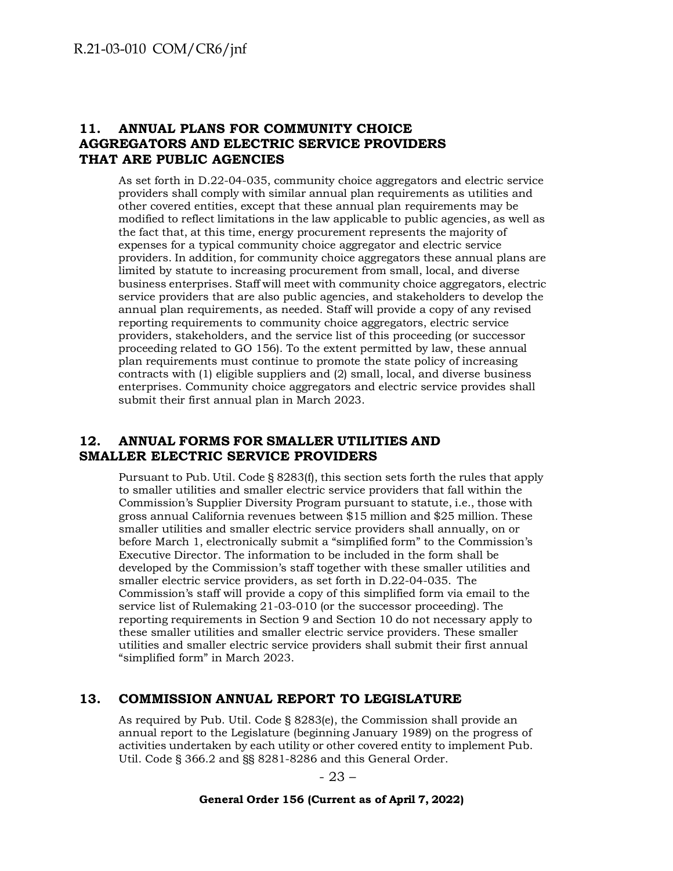## <span id="page-22-0"></span>**11. ANNUAL PLANS FOR COMMUNITY CHOICE AGGREGATORS AND ELECTRIC SERVICE PROVIDERS THAT ARE PUBLIC AGENCIES**

As set forth in D.22-04-035, community choice aggregators and electric service providers shall comply with similar annual plan requirements as utilities and other covered entities, except that these annual plan requirements may be modified to reflect limitations in the law applicable to public agencies, as well as the fact that, at this time, energy procurement represents the majority of expenses for a typical community choice aggregator and electric service providers. In addition, for community choice aggregators these annual plans are limited by statute to increasing procurement from small, local, and diverse business enterprises. Staff will meet with community choice aggregators, electric service providers that are also public agencies, and stakeholders to develop the annual plan requirements, as needed. Staff will provide a copy of any revised reporting requirements to community choice aggregators, electric service providers, stakeholders, and the service list of this proceeding (or successor proceeding related to GO 156). To the extent permitted by law, these annual plan requirements must continue to promote the state policy of increasing contracts with (1) eligible suppliers and (2) small, local, and diverse business enterprises. Community choice aggregators and electric service provides shall submit their first annual plan in March 2023.

### <span id="page-22-1"></span>**12. ANNUAL FORMS FOR SMALLER UTILITIES AND SMALLER ELECTRIC SERVICE PROVIDERS**

Pursuant to Pub. Util. Code § 8283(f), this section sets forth the rules that apply to smaller utilities and smaller electric service providers that fall within the Commission's Supplier Diversity Program pursuant to statute, i.e., those with gross annual California revenues between \$15 million and \$25 million. These smaller utilities and smaller electric service providers shall annually, on or before March 1, electronically submit a "simplified form" to the Commission's Executive Director. The information to be included in the form shall be developed by the Commission's staff together with these smaller utilities and smaller electric service providers, as set forth in D.22-04-035. The Commission's staff will provide a copy of this simplified form via email to the service list of Rulemaking 21-03-010 (or the successor proceeding). The reporting requirements in Section 9 and Section 10 do not necessary apply to these smaller utilities and smaller electric service providers. These smaller utilities and smaller electric service providers shall submit their first annual "simplified form" in March 2023.

## <span id="page-22-2"></span>**13. COMMISSION ANNUAL REPORT TO LEGISLATURE**

As required by Pub. Util. Code § 8283(e), the Commission shall provide an annual report to the Legislature (beginning January 1989) on the progress of activities undertaken by each utility or other covered entity to implement Pub. Util. Code § 366.2 and §§ 8281-8286 and this General Order.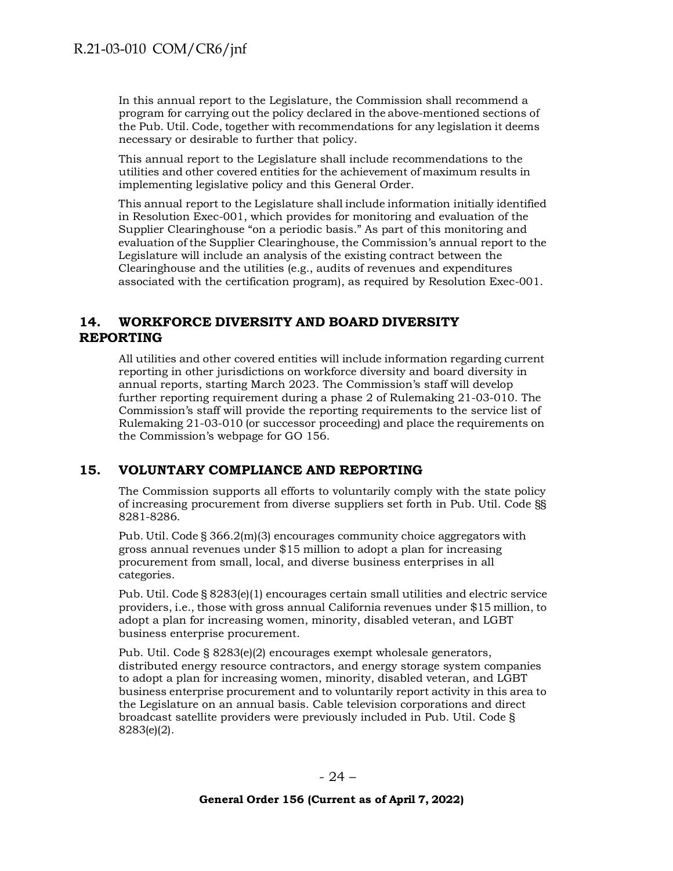In this annual report to the Legislature, the Commission shall recommend a program for carrying out the policy declared in the above-mentioned sections of the Pub. Util. Code, together with recommendations for any legislation it deems necessary or desirable to further that policy.

This annual report to the Legislature shall include recommendations to the utilities and other covered entities for the achievement of maximum results in implementing legislative policy and this General Order.

This annual report to the Legislature shall include information initially identified in Resolution Exec-001, which provides for monitoring and evaluation of the Supplier Clearinghouse "on a periodic basis." As part of this monitoring and evaluation of the Supplier Clearinghouse, the Commission's annual report to the Legislature will include an analysis of the existing contract between the Clearinghouse and the utilities (e.g., audits of revenues and expenditures associated with the certification program), as required by Resolution Exec-001.

# <span id="page-23-0"></span>**14. WORKFORCE DIVERSITY AND BOARD DIVERSITY REPORTING**

All utilities and other covered entities will include information regarding current reporting in other jurisdictions on workforce diversity and board diversity in annual reports, starting March 2023. The Commission's staff will develop further reporting requirement during a phase 2 of Rulemaking 21-03-010. The Commission's staff will provide the reporting requirements to the service list of Rulemaking 21-03-010 (or successor proceeding) and place the requirements on the Commission's webpage for GO 156.

## <span id="page-23-1"></span>**15. VOLUNTARY COMPLIANCE AND REPORTING**

The Commission supports all efforts to voluntarily comply with the state policy of increasing procurement from diverse suppliers set forth in Pub. Util. Code §§ 8281-8286.

Pub. Util. Code § 366.2(m)(3) encourages community choice aggregators with gross annual revenues under \$15 million to adopt a plan for increasing procurement from small, local, and diverse business enterprises in all categories.

Pub. Util. Code § 8283(e)(1) encourages certain small utilities and electric service providers, i.e., those with gross annual California revenues under \$15 million, to adopt a plan for increasing women, minority, disabled veteran, and LGBT business enterprise procurement.

Pub. Util. Code § 8283(e)(2) encourages exempt wholesale generators, distributed energy resource contractors, and energy storage system companies to adopt a plan for increasing women, minority, disabled veteran, and LGBT business enterprise procurement and to voluntarily report activity in this area to the Legislature on an annual basis. Cable television corporations and direct broadcast satellite providers were previously included in Pub. Util. Code § 8283(e)(2).